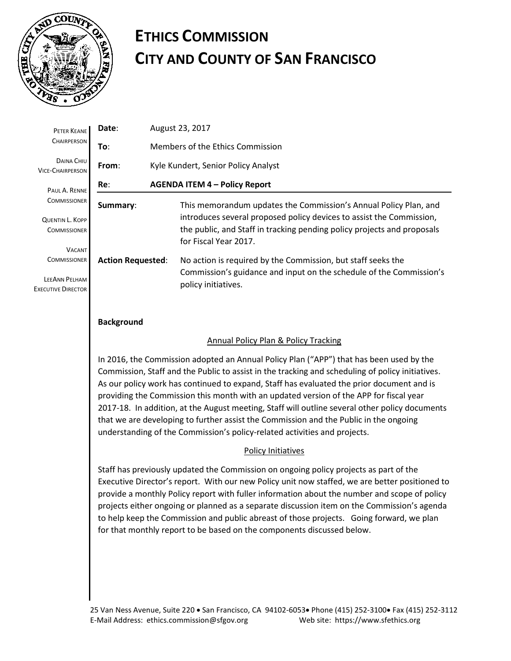

## **ETHICS COMMISSION CITY AND COUNTY OF SAN FRANCISCO**

| PETER KEANE                                                                        | Date:                    | August 23, 2017                                                                                                                                                          |  |  |  |  |  |  |
|------------------------------------------------------------------------------------|--------------------------|--------------------------------------------------------------------------------------------------------------------------------------------------------------------------|--|--|--|--|--|--|
| <b>CHAIRPERSON</b>                                                                 | To:                      | Members of the Ethics Commission                                                                                                                                         |  |  |  |  |  |  |
| DAINA CHIU<br><b>VICE-CHAIRPERSON</b>                                              | From:                    | Kyle Kundert, Senior Policy Analyst                                                                                                                                      |  |  |  |  |  |  |
| PAUL A. RENNE                                                                      | Re:                      | <b>AGENDA ITEM 4 - Policy Report</b>                                                                                                                                     |  |  |  |  |  |  |
| <b>COMMISSIONER</b>                                                                | Summary:                 | This memorandum updates the Commission's Annual Policy Plan, and                                                                                                         |  |  |  |  |  |  |
| <b>QUENTIN L. KOPP</b><br><b>COMMISSIONER</b>                                      |                          | introduces several proposed policy devices to assist the Commission,<br>the public, and Staff in tracking pending policy projects and proposals<br>for Fiscal Year 2017. |  |  |  |  |  |  |
| <b>VACANT</b><br><b>COMMISSIONER</b><br>LEEANN PELHAM<br><b>EXECUTIVE DIRECTOR</b> | <b>Action Requested:</b> | No action is required by the Commission, but staff seeks the<br>Commission's guidance and input on the schedule of the Commission's<br>policy initiatives.               |  |  |  |  |  |  |
|                                                                                    |                          |                                                                                                                                                                          |  |  |  |  |  |  |

#### **Background**

#### Annual Policy Plan & Policy Tracking

In 2016, the Commission adopted an Annual Policy Plan ("APP") that has been used by the Commission, Staff and the Public to assist in the tracking and scheduling of policy initiatives. As our policy work has continued to expand, Staff has evaluated the prior document and is providing the Commission this month with an updated version of the APP for fiscal year 2017-18. In addition, at the August meeting, Staff will outline several other policy documents that we are developing to further assist the Commission and the Public in the ongoing understanding of the Commission's policy-related activities and projects.

#### Policy Initiatives

Staff has previously updated the Commission on ongoing policy projects as part of the Executive Director's report. With our new Policy unit now staffed, we are better positioned to provide a monthly Policy report with fuller information about the number and scope of policy projects either ongoing or planned as a separate discussion item on the Commission's agenda to help keep the Commission and public abreast of those projects. Going forward, we plan for that monthly report to be based on the components discussed below.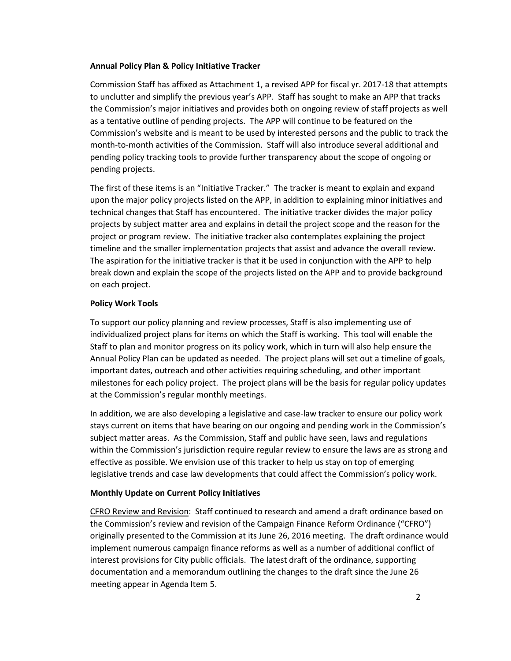#### **Annual Policy Plan & Policy Initiative Tracker**

Commission Staff has affixed as Attachment 1, a revised APP for fiscal yr. 2017-18 that attempts to unclutter and simplify the previous year's APP. Staff has sought to make an APP that tracks the Commission's major initiatives and provides both on ongoing review of staff projects as well as a tentative outline of pending projects. The APP will continue to be featured on the Commission's website and is meant to be used by interested persons and the public to track the month-to-month activities of the Commission. Staff will also introduce several additional and pending policy tracking tools to provide further transparency about the scope of ongoing or pending projects.

The first of these items is an "Initiative Tracker." The tracker is meant to explain and expand upon the major policy projects listed on the APP, in addition to explaining minor initiatives and technical changes that Staff has encountered. The initiative tracker divides the major policy projects by subject matter area and explains in detail the project scope and the reason for the project or program review. The initiative tracker also contemplates explaining the project timeline and the smaller implementation projects that assist and advance the overall review. The aspiration for the initiative tracker is that it be used in conjunction with the APP to help break down and explain the scope of the projects listed on the APP and to provide background on each project.

#### **Policy Work Tools**

To support our policy planning and review processes, Staff is also implementing use of individualized project plans for items on which the Staff is working. This tool will enable the Staff to plan and monitor progress on its policy work, which in turn will also help ensure the Annual Policy Plan can be updated as needed. The project plans will set out a timeline of goals, important dates, outreach and other activities requiring scheduling, and other important milestones for each policy project. The project plans will be the basis for regular policy updates at the Commission's regular monthly meetings.

In addition, we are also developing a legislative and case-law tracker to ensure our policy work stays current on items that have bearing on our ongoing and pending work in the Commission's subject matter areas. As the Commission, Staff and public have seen, laws and regulations within the Commission's jurisdiction require regular review to ensure the laws are as strong and effective as possible. We envision use of this tracker to help us stay on top of emerging legislative trends and case law developments that could affect the Commission's policy work.

#### **Monthly Update on Current Policy Initiatives**

CFRO Review and Revision: Staff continued to research and amend a draft ordinance based on the Commission's review and revision of the Campaign Finance Reform Ordinance ("CFRO") originally presented to the Commission at its June 26, 2016 meeting. The draft ordinance would implement numerous campaign finance reforms as well as a number of additional conflict of interest provisions for City public officials. The latest draft of the ordinance, supporting documentation and a memorandum outlining the changes to the draft since the June 26 meeting appear in Agenda Item 5.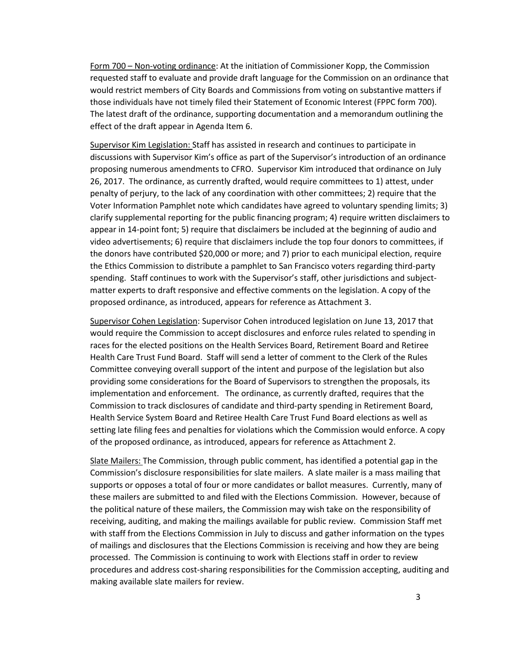Form 700 – Non-voting ordinance: At the initiation of Commissioner Kopp, the Commission requested staff to evaluate and provide draft language for the Commission on an ordinance that would restrict members of City Boards and Commissions from voting on substantive matters if those individuals have not timely filed their Statement of Economic Interest (FPPC form 700). The latest draft of the ordinance, supporting documentation and a memorandum outlining the effect of the draft appear in Agenda Item 6.

Supervisor Kim Legislation: Staff has assisted in research and continues to participate in discussions with Supervisor Kim's office as part of the Supervisor's introduction of an ordinance proposing numerous amendments to CFRO. Supervisor Kim introduced that ordinance on July 26, 2017. The ordinance, as currently drafted, would require committees to 1) attest, under penalty of perjury, to the lack of any coordination with other committees; 2) require that the Voter Information Pamphlet note which candidates have agreed to voluntary spending limits; 3) clarify supplemental reporting for the public financing program; 4) require written disclaimers to appear in 14-point font; 5) require that disclaimers be included at the beginning of audio and video advertisements; 6) require that disclaimers include the top four donors to committees, if the donors have contributed \$20,000 or more; and 7) prior to each municipal election, require the Ethics Commission to distribute a pamphlet to San Francisco voters regarding third-party spending. Staff continues to work with the Supervisor's staff, other jurisdictions and subjectmatter experts to draft responsive and effective comments on the legislation. A copy of the proposed ordinance, as introduced, appears for reference as Attachment 3.

Supervisor Cohen Legislation: Supervisor Cohen introduced legislation on June 13, 2017 that would require the Commission to accept disclosures and enforce rules related to spending in races for the elected positions on the Health Services Board, Retirement Board and Retiree Health Care Trust Fund Board. Staff will send a letter of comment to the Clerk of the Rules Committee conveying overall support of the intent and purpose of the legislation but also providing some considerations for the Board of Supervisors to strengthen the proposals, its implementation and enforcement. The ordinance, as currently drafted, requires that the Commission to track disclosures of candidate and third-party spending in Retirement Board, Health Service System Board and Retiree Health Care Trust Fund Board elections as well as setting late filing fees and penalties for violations which the Commission would enforce. A copy of the proposed ordinance, as introduced, appears for reference as Attachment 2.

Slate Mailers: The Commission, through public comment, has identified a potential gap in the Commission's disclosure responsibilities for slate mailers. A slate mailer is a mass mailing that supports or opposes a total of four or more candidates or ballot measures. Currently, many of these mailers are submitted to and filed with the Elections Commission. However, because of the political nature of these mailers, the Commission may wish take on the responsibility of receiving, auditing, and making the mailings available for public review. Commission Staff met with staff from the Elections Commission in July to discuss and gather information on the types of mailings and disclosures that the Elections Commission is receiving and how they are being processed. The Commission is continuing to work with Elections staff in order to review procedures and address cost-sharing responsibilities for the Commission accepting, auditing and making available slate mailers for review.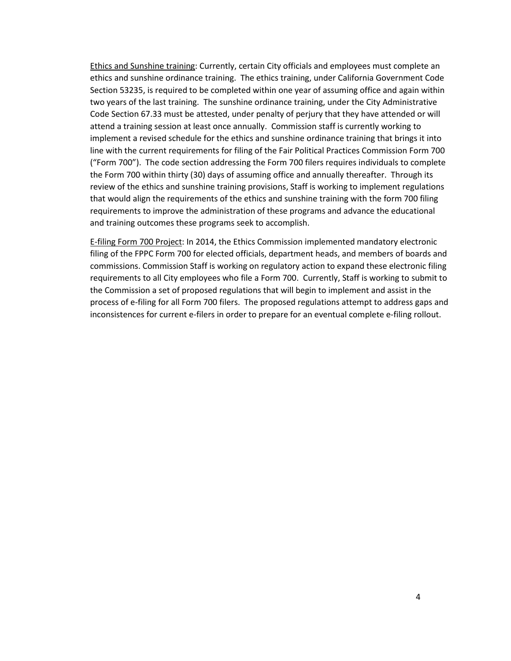Ethics and Sunshine training: Currently, certain City officials and employees must complete an ethics and sunshine ordinance training. The ethics training, under California Government Code Section 53235, is required to be completed within one year of assuming office and again within two years of the last training. The sunshine ordinance training, under the City Administrative Code Section 67.33 must be attested, under penalty of perjury that they have attended or will attend a training session at least once annually. Commission staff is currently working to implement a revised schedule for the ethics and sunshine ordinance training that brings it into line with the current requirements for filing of the Fair Political Practices Commission Form 700 ("Form 700"). The code section addressing the Form 700 filers requires individuals to complete the Form 700 within thirty (30) days of assuming office and annually thereafter. Through its review of the ethics and sunshine training provisions, Staff is working to implement regulations that would align the requirements of the ethics and sunshine training with the form 700 filing requirements to improve the administration of these programs and advance the educational and training outcomes these programs seek to accomplish.

E-filing Form 700 Project: In 2014, the Ethics Commission implemented mandatory electronic filing of the FPPC Form 700 for elected officials, department heads, and members of boards and commissions. Commission Staff is working on regulatory action to expand these electronic filing requirements to all City employees who file a Form 700. Currently, Staff is working to submit to the Commission a set of proposed regulations that will begin to implement and assist in the process of e-filing for all Form 700 filers. The proposed regulations attempt to address gaps and inconsistences for current e-filers in order to prepare for an eventual complete e-filing rollout.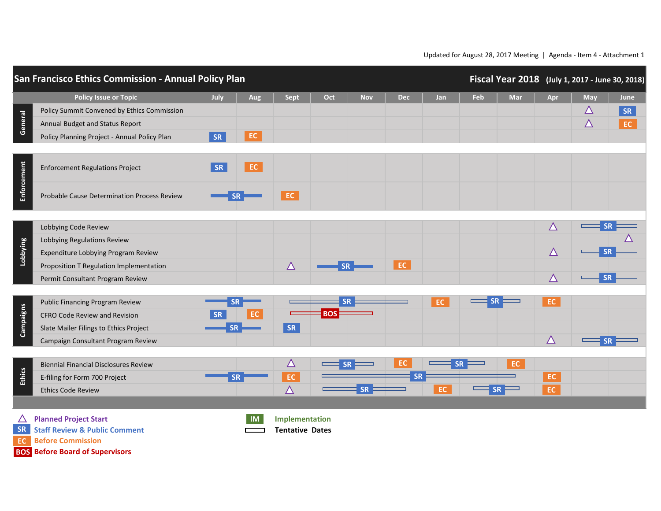|               | San Francisco Ethics Commission - Annual Policy Plan<br>Fiscal Year 2018 (July 1, 2017 - June 30, 2018)                                                                                                                              |           |                |                        |            |            |            |     |     |           |             |             |      |
|---------------|--------------------------------------------------------------------------------------------------------------------------------------------------------------------------------------------------------------------------------------|-----------|----------------|------------------------|------------|------------|------------|-----|-----|-----------|-------------|-------------|------|
|               | <b>Policy Issue or Topic</b>                                                                                                                                                                                                         | July      | Aug            | <b>Sept</b>            | Oct        | <b>Nov</b> | <b>Dec</b> | Jan | Feb | Mar       | Apr         | May         | June |
| General       | Policy Summit Convened by Ethics Commission                                                                                                                                                                                          |           |                |                        |            |            |            |     |     |           |             | $\triangle$ | SR   |
|               | Annual Budget and Status Report                                                                                                                                                                                                      |           |                |                        |            |            |            |     |     |           |             | $\triangle$ | EC   |
|               | Policy Planning Project - Annual Policy Plan                                                                                                                                                                                         | SR        | $\mathsf{EC}$  |                        |            |            |            |     |     |           |             |             |      |
|               |                                                                                                                                                                                                                                      |           |                |                        |            |            |            |     |     |           |             |             |      |
| Enforcement   | <b>Enforcement Regulations Project</b>                                                                                                                                                                                               | SR        | $\mathsf{EC}$  |                        |            |            |            |     |     |           |             |             |      |
|               | Probable Cause Determination Process Review                                                                                                                                                                                          |           | <b>SR</b>      | EC.                    |            |            |            |     |     |           |             |             |      |
|               |                                                                                                                                                                                                                                      |           |                |                        |            |            |            |     |     |           | $\triangle$ |             |      |
|               | Lobbying Code Review                                                                                                                                                                                                                 |           |                |                        |            |            |            |     |     |           |             |             |      |
| Lobbying      | Lobbying Regulations Review                                                                                                                                                                                                          |           |                |                        |            |            |            |     |     |           | $\triangle$ |             |      |
|               | Expenditure Lobbying Program Review                                                                                                                                                                                                  |           |                |                        |            |            | EC         |     |     |           |             |             |      |
|               | Proposition T Regulation Implementation                                                                                                                                                                                              |           |                | $\triangle$            | <b>SR</b>  |            |            |     |     |           | $\Delta$    |             |      |
|               | Permit Consultant Program Review                                                                                                                                                                                                     |           |                |                        |            |            |            |     |     |           |             |             |      |
|               | <b>Public Financing Program Review</b>                                                                                                                                                                                               |           |                |                        |            |            |            | EC. |     |           | EC.         |             |      |
|               | <b>CFRO Code Review and Revision</b>                                                                                                                                                                                                 | <b>SR</b> | EC             |                        | <b>BOS</b> |            |            |     |     |           |             |             |      |
| Campaigns     | Slate Mailer Filings to Ethics Project                                                                                                                                                                                               | <b>SR</b> |                | SR                     |            |            |            |     |     |           |             |             |      |
|               | Campaign Consultant Program Review                                                                                                                                                                                                   |           |                |                        |            |            |            |     |     |           | $\triangle$ |             |      |
|               |                                                                                                                                                                                                                                      |           |                |                        |            |            |            |     |     |           |             |             |      |
|               | <b>Biennial Financial Disclosures Review</b>                                                                                                                                                                                         |           |                | $\Delta$               |            |            | EC         |     |     | EC        |             |             |      |
| <b>Ethics</b> | E-filing for Form 700 Project                                                                                                                                                                                                        |           | <b>SR</b>      | $\mathsf{EC}$          |            |            |            |     |     |           | EC          |             |      |
|               | <b>Ethics Code Review</b>                                                                                                                                                                                                            |           |                | $\overline{\Delta}$    |            | <b>SR</b>  |            | EC  |     | <b>SR</b> | EC          |             |      |
|               |                                                                                                                                                                                                                                      |           |                |                        |            |            |            |     |     |           |             |             |      |
| $\triangle$   | <b>Planned Project Start</b>                                                                                                                                                                                                         |           | $\blacksquare$ | Implementation         |            |            |            |     |     |           |             |             |      |
|               | <b>SR</b> Staff Review & Public Comment                                                                                                                                                                                              |           |                | <b>Tentative Dates</b> |            |            |            |     |     |           |             |             |      |
|               | <u>in the community of the community of the community of the community of the community of the community of the community of the community of the community of the community of the community of the community of the community </u> |           |                |                        |            |            |            |     |     |           |             |             |      |

**Before Commission EC**

**Before Board of Supervisors BOS**

Updated for August 28, 2017 Meeting | Agenda - Item 4 - Attachment 1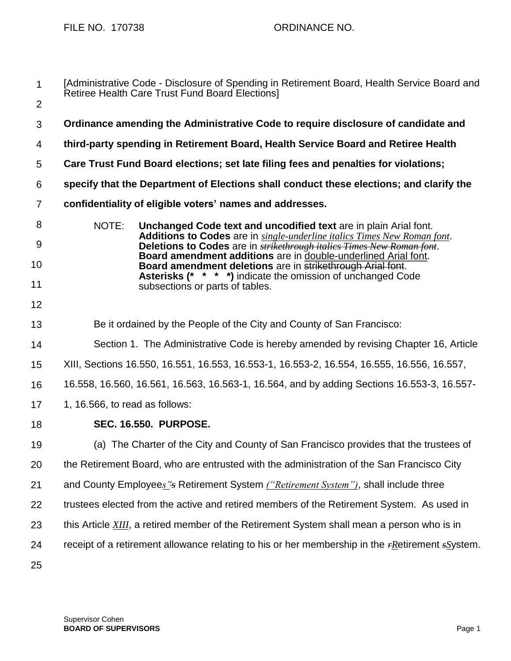FILE NO. 170738 ORDINANCE NO.

| $\mathbf{1}$   | [Administrative Code - Disclosure of Spending in Retirement Board, Health Service Board and<br>Retiree Health Care Trust Fund Board Elections]            |
|----------------|-----------------------------------------------------------------------------------------------------------------------------------------------------------|
| $\overline{2}$ |                                                                                                                                                           |
| 3              | Ordinance amending the Administrative Code to require disclosure of candidate and                                                                         |
| 4              | third-party spending in Retirement Board, Health Service Board and Retiree Health                                                                         |
| 5              | Care Trust Fund Board elections; set late filing fees and penalties for violations;                                                                       |
| 6              | specify that the Department of Elections shall conduct these elections; and clarify the                                                                   |
| $\overline{7}$ | confidentiality of eligible voters' names and addresses.                                                                                                  |
| 8              | NOTE:<br>Unchanged Code text and uncodified text are in plain Arial font.                                                                                 |
| $9\,$          | Additions to Codes are in single-underline italics Times New Roman font.<br>Deletions to Codes are in <b>strikethrough italics Times New Roman font</b> . |
| 10             | Board amendment additions are in double-underlined Arial font.<br>Board amendment deletions are in strikethrough Arial font.                              |
| 11             | <b>Asterisks (* * * *)</b> indicate the omission of unchanged Code<br>subsections or parts of tables.                                                     |
| 12             |                                                                                                                                                           |
| 13             | Be it ordained by the People of the City and County of San Francisco:                                                                                     |
| 14             | Section 1. The Administrative Code is hereby amended by revising Chapter 16, Article                                                                      |
| 15             | XIII, Sections 16.550, 16.551, 16.553, 16.553-1, 16.553-2, 16.554, 16.555, 16.556, 16.557,                                                                |
| 16             | 16.558, 16.560, 16.561, 16.563, 16.563-1, 16.564, and by adding Sections 16.553-3, 16.557-                                                                |
| 17             | 1, 16.566, to read as follows:                                                                                                                            |
| 18             | <b>SEC. 16.550. PURPOSE.</b>                                                                                                                              |
| 19             | (a) The Charter of the City and County of San Francisco provides that the trustees of                                                                     |
| 20             | the Retirement Board, who are entrusted with the administration of the San Francisco City                                                                 |
| 21             | and County Employees 's Retirement System ("Retirement System"), shall include three                                                                      |
| 22             | trustees elected from the active and retired members of the Retirement System. As used in                                                                 |
| 23             | this Article XIII, a retired member of the Retirement System shall mean a person who is in                                                                |
| 24             | receipt of a retirement allowance relating to his or her membership in the $r$ Retirement $s$ System.                                                     |
| 25             |                                                                                                                                                           |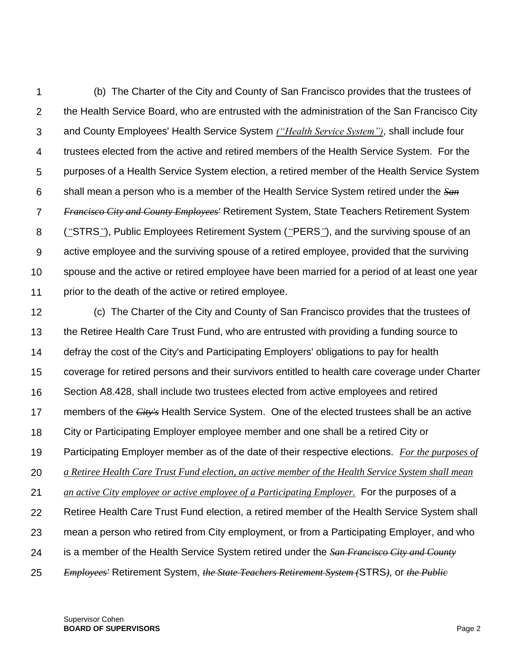1  $\mathcal{P}$ 3 4 5 6 7 8 9 10 11 (b) The Charter of the City and County of San Francisco provides that the trustees of the Health Service Board, who are entrusted with the administration of the San Francisco City and County Employees' Health Service System *("Health Service System")*, shall include four trustees elected from the active and retired members of the Health Service System. For the purposes of a Health Service System election, a retired member of the Health Service System shall mean a person who is a member of the Health Service System retired under the *San Francisco City and County Employees'* Retirement System, State Teachers Retirement System (*"*STRS*"*), Public Employees Retirement System (*"*PERS*"*), and the surviving spouse of an active employee and the surviving spouse of a retired employee, provided that the surviving spouse and the active or retired employee have been married for a period of at least one year prior to the death of the active or retired employee.

12 13 14 15 16 17 18 19 20 21 22 23 24 25 (c) The Charter of the City and County of San Francisco provides that the trustees of the Retiree Health Care Trust Fund, who are entrusted with providing a funding source to defray the cost of the City's and Participating Employers' obligations to pay for health coverage for retired persons and their survivors entitled to health care coverage under Charter Section A8.428, shall include two trustees elected from active employees and retired members of the *City's* Health Service System. One of the elected trustees shall be an active City or Participating Employer employee member and one shall be a retired City or Participating Employer member as of the date of their respective elections. *For the purposes of a Retiree Health Care Trust Fund election, an active member of the Health Service System shall mean an active City employee or active employee of a Participating Employer.* For the purposes of a Retiree Health Care Trust Fund election, a retired member of the Health Service System shall mean a person who retired from City employment, or from a Participating Employer, and who is a member of the Health Service System retired under the *San Francisco City and County Employees'* Retirement System, *the State Teachers Retirement System (*STRS*)*, or *the Public*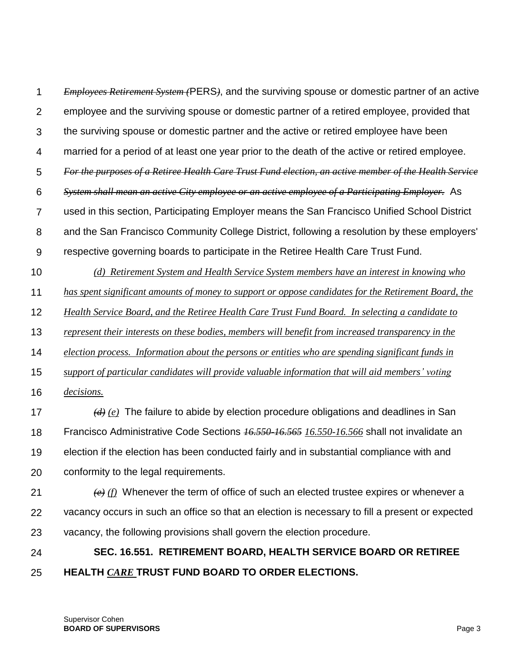1  $\mathcal{P}$ 3 4 5 6 7 8 9 *Employees Retirement System (*PERS*)*, and the surviving spouse or domestic partner of an active employee and the surviving spouse or domestic partner of a retired employee, provided that the surviving spouse or domestic partner and the active or retired employee have been married for a period of at least one year prior to the death of the active or retired employee. *For the purposes of a Retiree Health Care Trust Fund election, an active member of the Health Service System shall mean an active City employee or an active employee of a Participating Employer.* As used in this section, Participating Employer means the San Francisco Unified School District and the San Francisco Community College District, following a resolution by these employers' respective governing boards to participate in the Retiree Health Care Trust Fund.

- 10 11 12 *(d) Retirement System and Health Service System members have an interest in knowing who has spent significant amounts of money to support or oppose candidates for the Retirement Board, the Health Service Board, and the Retiree Health Care Trust Fund Board. In selecting a candidate to*
- 

13 *represent their interests on these bodies, members will benefit from increased transparency in the* 

14 *election process. Information about the persons or entities who are spending significant funds in* 

- 15 *support of particular candidates will provide valuable information that will aid members' voting*
- 16 *decisions.*

17 18 19 20 *(d) (e)* The failure to abide by election procedure obligations and deadlines in San Francisco Administrative Code Sections *16.550-16.565 16.550-16.566* shall not invalidate an election if the election has been conducted fairly and in substantial compliance with and conformity to the legal requirements.

21 22 23 *(e) (f)* Whenever the term of office of such an elected trustee expires or whenever a vacancy occurs in such an office so that an election is necessary to fill a present or expected vacancy, the following provisions shall govern the election procedure.

#### 24 25 **SEC. 16.551. RETIREMENT BOARD, HEALTH SERVICE BOARD OR RETIREE HEALTH** *CARE* **TRUST FUND BOARD TO ORDER ELECTIONS.**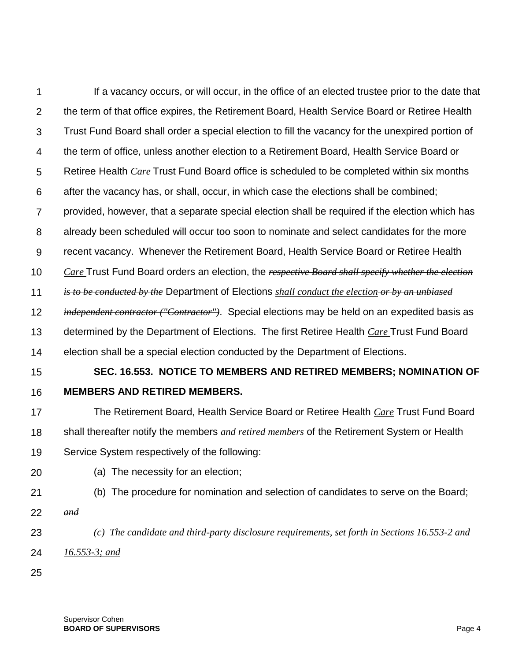1  $\mathcal{P}$ 3 4 5 6 7 8 9 10 11 12 13 14 15 If a vacancy occurs, or will occur, in the office of an elected trustee prior to the date that the term of that office expires, the Retirement Board, Health Service Board or Retiree Health Trust Fund Board shall order a special election to fill the vacancy for the unexpired portion of the term of office, unless another election to a Retirement Board, Health Service Board or Retiree Health *Care* Trust Fund Board office is scheduled to be completed within six months after the vacancy has, or shall, occur, in which case the elections shall be combined; provided, however, that a separate special election shall be required if the election which has already been scheduled will occur too soon to nominate and select candidates for the more recent vacancy. Whenever the Retirement Board, Health Service Board or Retiree Health *Care* Trust Fund Board orders an election, the *respective Board shall specify whether the election is to be conducted by the* Department of Elections *shall conduct the election or by an unbiased independent contractor ("Contractor")*. Special elections may be held on an expedited basis as determined by the Department of Elections. The first Retiree Health *Care* Trust Fund Board election shall be a special election conducted by the Department of Elections. **SEC. 16.553. NOTICE TO MEMBERS AND RETIRED MEMBERS; NOMINATION OF** 

16

# **MEMBERS AND RETIRED MEMBERS.**

- 17 18 19 The Retirement Board, Health Service Board or Retiree Health *Care* Trust Fund Board shall thereafter notify the members *and retired members* of the Retirement System or Health Service System respectively of the following:
- 20 (a) The necessity for an election;
- 21 (b) The procedure for nomination and selection of candidates to serve on the Board;
- 22 *and*
	- *(c) The candidate and third-party disclosure requirements, set forth in Sections 16.553-2 and*
- 24 *16.553-3; and*
- 25

23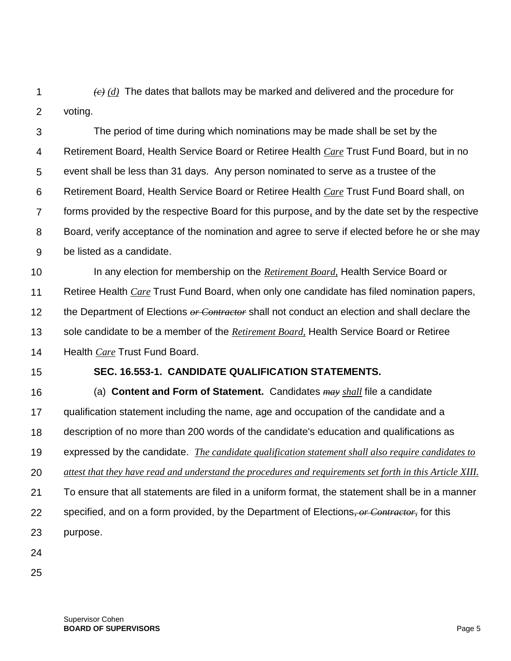1  $\mathcal{P}$ *(c) (d)* The dates that ballots may be marked and delivered and the procedure for voting.

3 4 5 6 7 8 9 The period of time during which nominations may be made shall be set by the Retirement Board, Health Service Board or Retiree Health *Care* Trust Fund Board, but in no event shall be less than 31 days. Any person nominated to serve as a trustee of the Retirement Board, Health Service Board or Retiree Health *Care* Trust Fund Board shall, on forms provided by the respective Board for this purpose*,* and by the date set by the respective Board, verify acceptance of the nomination and agree to serve if elected before he or she may be listed as a candidate.

10 11 12 13 14 In any election for membership on the *Retirement Board,* Health Service Board or Retiree Health *Care* Trust Fund Board, when only one candidate has filed nomination papers, the Department of Elections *or Contractor* shall not conduct an election and shall declare the sole candidate to be a member of the *Retirement Board,* Health Service Board or Retiree Health *Care* Trust Fund Board.

15

#### **SEC. 16.553-1. CANDIDATE QUALIFICATION STATEMENTS.**

16 17 18 19 20 21 22 23 (a) **Content and Form of Statement.** Candidates *may shall* file a candidate qualification statement including the name, age and occupation of the candidate and a description of no more than 200 words of the candidate's education and qualifications as expressed by the candidate. *The candidate qualification statement shall also require candidates to attest that they have read and understand the procedures and requirements set forth in this Article XIII.* To ensure that all statements are filed in a uniform format, the statement shall be in a manner specified, and on a form provided, by the Department of Elections*, or Contractor,* for this purpose.

24

25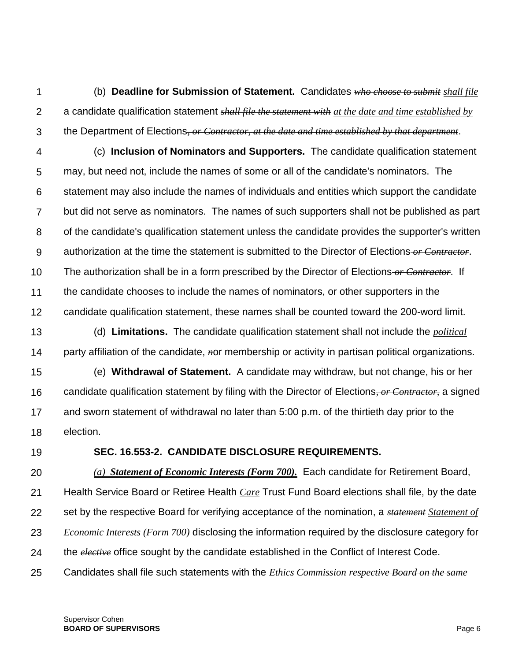1  $\mathcal{P}$ 3 (b) **Deadline for Submission of Statement.** Candidates *who choose to submit shall file* a candidate qualification statement *shall file the statement with at the date and time established by* the Department of Elections*, or Contractor, at the date and time established by that department*.

4 5 6 7 8 9 10 11 12 (c) **Inclusion of Nominators and Supporters.** The candidate qualification statement may, but need not, include the names of some or all of the candidate's nominators. The statement may also include the names of individuals and entities which support the candidate but did not serve as nominators. The names of such supporters shall not be published as part of the candidate's qualification statement unless the candidate provides the supporter's written authorization at the time the statement is submitted to the Director of Elections *or Contractor*. The authorization shall be in a form prescribed by the Director of Elections *or Contractor*. If the candidate chooses to include the names of nominators, or other supporters in the candidate qualification statement, these names shall be counted toward the 200-word limit.

13 14 (d) **Limitations.** The candidate qualification statement shall not include the *political* party affiliation of the candidate, *n*or membership or activity in partisan political organizations.

15 16 17 18 (e) **Withdrawal of Statement.** A candidate may withdraw, but not change, his or her candidate qualification statement by filing with the Director of Elections*, or Contractor,* a signed and sworn statement of withdrawal no later than 5:00 p.m. of the thirtieth day prior to the election.

19

#### **SEC. 16.553-2. CANDIDATE DISCLOSURE REQUIREMENTS.**

20 21 22 23 24 *(a) Statement of Economic Interests (Form 700).* Each candidate for Retirement Board, Health Service Board or Retiree Health *Care* Trust Fund Board elections shall file, by the date set by the respective Board for verifying acceptance of the nomination, a *statement Statement of Economic Interests (Form 700)* disclosing the information required by the disclosure category for the *elective* office sought by the candidate established in the Conflict of Interest Code.

25 Candidates shall file such statements with the *Ethics Commission respective Board on the same*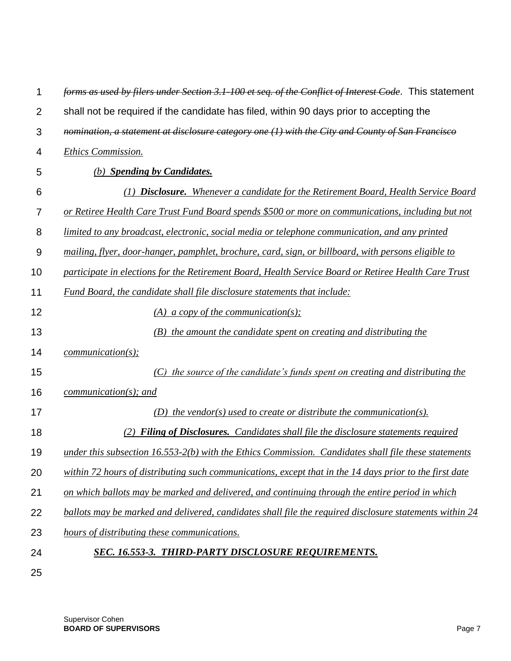| 1              | forms as used by filers under Section 3.1-100 et seq. of the Conflict of Interest Code. This statement  |
|----------------|---------------------------------------------------------------------------------------------------------|
| $\overline{2}$ | shall not be required if the candidate has filed, within 90 days prior to accepting the                 |
| 3              | nomination, a statement at disclosure category one (1) with the City and County of San Francisco        |
| 4              | <b>Ethics Commission.</b>                                                                               |
| 5              | (b) Spending by Candidates.                                                                             |
| 6              | (1) <b>Disclosure.</b> Whenever a candidate for the Retirement Board, Health Service Board              |
| 7              | or Retiree Health Care Trust Fund Board spends \$500 or more on communications, including but not       |
| 8              | limited to any broadcast, electronic, social media or telephone communication, and any printed          |
| 9              | mailing, flyer, door-hanger, pamphlet, brochure, card, sign, or billboard, with persons eligible to     |
| 10             | participate in elections for the Retirement Board, Health Service Board or Retiree Health Care Trust    |
| 11             | Fund Board, the candidate shall file disclosure statements that include:                                |
| 12             | (A) a copy of the communication(s);                                                                     |
| 13             | (B) the amount the candidate spent on creating and distributing the                                     |
| 14             | $communication(s)$ ;                                                                                    |
| 15             | (C) the source of the candidate's funds spent on creating and distributing the                          |
| 16             | $communication(s);$ and                                                                                 |
| 17             | (D) the vendor(s) used to create or distribute the communication(s).                                    |
| 18             | (2) Filing of Disclosures. Candidates shall file the disclosure statements required                     |
| 19             | under this subsection $16.553-2(b)$ with the Ethics Commission. Candidates shall file these statements  |
| 20             | within 72 hours of distributing such communications, except that in the 14 days prior to the first date |
| 21             | on which ballots may be marked and delivered, and continuing through the entire period in which         |
| 22             | ballots may be marked and delivered, candidates shall file the required disclosure statements within 24 |
| 23             | hours of distributing these communications.                                                             |
| 24             | SEC. 16.553-3. THIRD-PARTY DISCLOSURE REQUIREMENTS.                                                     |
| 25             |                                                                                                         |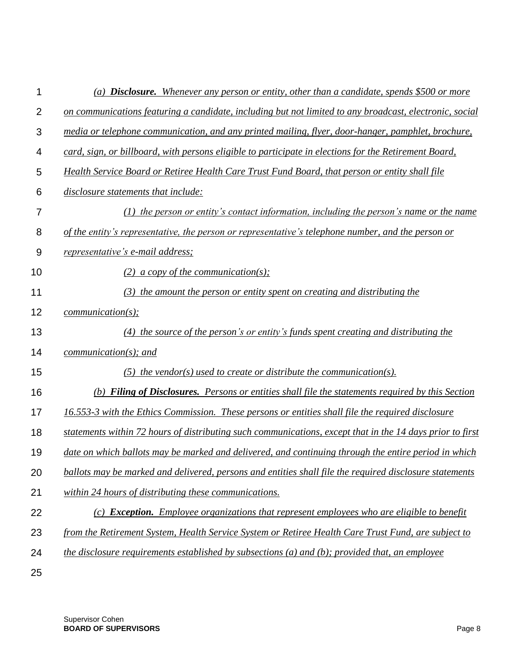| 1              | (a) <b>Disclosure.</b> Whenever any person or entity, other than a candidate, spends \$500 or more        |
|----------------|-----------------------------------------------------------------------------------------------------------|
| $\overline{2}$ | on communications featuring a candidate, including but not limited to any broadcast, electronic, social   |
| 3              | media or telephone communication, and any printed mailing, flyer, door-hanger, pamphlet, brochure,        |
| 4              | card, sign, or billboard, with persons eligible to participate in elections for the Retirement Board,     |
| 5              | Health Service Board or Retiree Health Care Trust Fund Board, that person or entity shall file            |
| 6              | disclosure statements that include:                                                                       |
| 7              | $(1)$ the person or entity's contact information, including the person's name or the name                 |
| 8              | of the entity's representative, the person or representative's telephone number, and the person or        |
| 9              | <i>representative's e-mail address;</i>                                                                   |
| 10             | (2) a copy of the communication(s);                                                                       |
| 11             | (3) the amount the person or entity spent on creating and distributing the                                |
| 12             | communication(s);                                                                                         |
| 13             | (4) the source of the person's or entity's funds spent creating and distributing the                      |
| 14             | $communication(s);$ and                                                                                   |
| 15             | $(5)$ the vendor(s) used to create or distribute the communication(s).                                    |
| 16             | (b) Filing of Disclosures. Persons or entities shall file the statements required by this Section         |
| 17             | 16.553-3 with the Ethics Commission. These persons or entities shall file the required disclosure         |
| 18             | statements within 72 hours of distributing such communications, except that in the 14 days prior to first |
| 19             | date on which ballots may be marked and delivered, and continuing through the entire period in which      |
| 20             | ballots may be marked and delivered, persons and entities shall file the required disclosure statements   |
| 21             | within 24 hours of distributing these communications.                                                     |
| 22             | (c) <b>Exception.</b> Employee organizations that represent employees who are eligible to benefit         |
| 23             | from the Retirement System, Health Service System or Retiree Health Care Trust Fund, are subject to       |
| 24             | the disclosure requirements established by subsections (a) and (b); provided that, an employee            |
| 25             |                                                                                                           |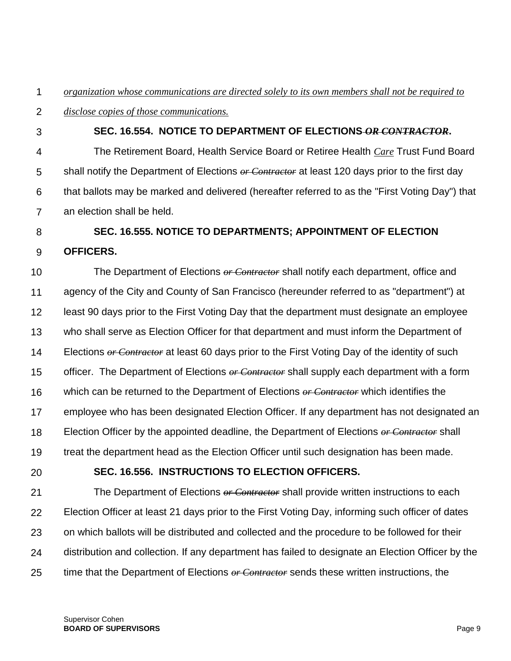1 *organization whose communications are directed solely to its own members shall not be required to* 

- $\mathcal{P}$ *disclose copies of those communications.*
	- **SEC. 16.554. NOTICE TO DEPARTMENT OF ELECTIONS** *OR CONTRACTOR***.**

4 5 6 7 The Retirement Board, Health Service Board or Retiree Health *Care* Trust Fund Board shall notify the Department of Elections *or Contractor* at least 120 days prior to the first day that ballots may be marked and delivered (hereafter referred to as the "First Voting Day") that an election shall be held.

- 8 **SEC. 16.555. NOTICE TO DEPARTMENTS; APPOINTMENT OF ELECTION**
- 9 **OFFICERS.**

3

10 11 12 13 14 15 16 17 18 19 The Department of Elections *or Contractor* shall notify each department, office and agency of the City and County of San Francisco (hereunder referred to as "department") at least 90 days prior to the First Voting Day that the department must designate an employee who shall serve as Election Officer for that department and must inform the Department of Elections *or Contractor* at least 60 days prior to the First Voting Day of the identity of such officer. The Department of Elections *or Contractor* shall supply each department with a form which can be returned to the Department of Elections *or Contractor* which identifies the employee who has been designated Election Officer. If any department has not designated an Election Officer by the appointed deadline, the Department of Elections *or Contractor* shall treat the department head as the Election Officer until such designation has been made.

20

### **SEC. 16.556. INSTRUCTIONS TO ELECTION OFFICERS.**

21 22 23 24 25 The Department of Elections *or Contractor* shall provide written instructions to each Election Officer at least 21 days prior to the First Voting Day, informing such officer of dates on which ballots will be distributed and collected and the procedure to be followed for their distribution and collection. If any department has failed to designate an Election Officer by the time that the Department of Elections *or Contractor* sends these written instructions, the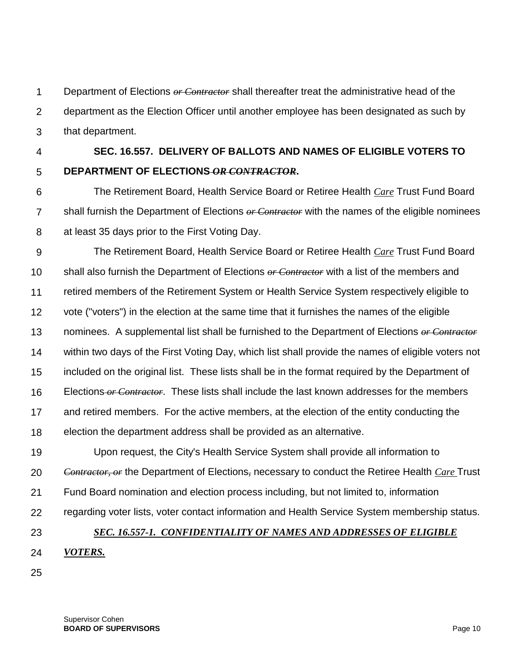1  $\mathcal{P}$ 3 Department of Elections *or Contractor* shall thereafter treat the administrative head of the department as the Election Officer until another employee has been designated as such by that department.

4

5

### **SEC. 16.557. DELIVERY OF BALLOTS AND NAMES OF ELIGIBLE VOTERS TO DEPARTMENT OF ELECTIONS** *OR CONTRACTOR***.**

6 7 8 The Retirement Board, Health Service Board or Retiree Health *Care* Trust Fund Board shall furnish the Department of Elections *or Contractor* with the names of the eligible nominees at least 35 days prior to the First Voting Day.

9 10 11 12 13 14 15 16 17 18 The Retirement Board, Health Service Board or Retiree Health *Care* Trust Fund Board shall also furnish the Department of Elections *or Contractor* with a list of the members and retired members of the Retirement System or Health Service System respectively eligible to vote ("voters") in the election at the same time that it furnishes the names of the eligible nominees. A supplemental list shall be furnished to the Department of Elections *or Contractor* within two days of the First Voting Day, which list shall provide the names of eligible voters not included on the original list. These lists shall be in the format required by the Department of Elections *or Contractor*. These lists shall include the last known addresses for the members and retired members. For the active members, at the election of the entity conducting the election the department address shall be provided as an alternative.

19 20 21 Upon request, the City's Health Service System shall provide all information to *Contractor, or* the Department of Elections*,* necessary to conduct the Retiree Health *Care* Trust Fund Board nomination and election process including, but not limited to, information

#### 22 regarding voter lists, voter contact information and Health Service System membership status.

#### 23

### *SEC. 16.557-1. CONFIDENTIALITY OF NAMES AND ADDRESSES OF ELIGIBLE*

- 24 *VOTERS.*
- 25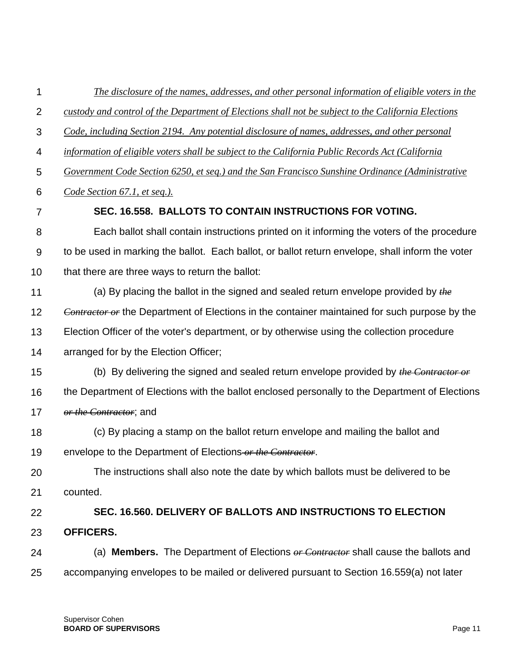| The disclosure of the names, addresses, and other personal information of eligible voters in the     |
|------------------------------------------------------------------------------------------------------|
| custody and control of the Department of Elections shall not be subject to the California Elections  |
| Code, including Section 2194. Any potential disclosure of names, addresses, and other personal       |
| information of eligible voters shall be subject to the California Public Records Act (California     |
| Government Code Section 6250, et seg.) and the San Francisco Sunshine Ordinance (Administrative      |
| Code Section 67.1, et seq.).                                                                         |
| SEC. 16.558. BALLOTS TO CONTAIN INSTRUCTIONS FOR VOTING.                                             |
| Each ballot shall contain instructions printed on it informing the voters of the procedure           |
| to be used in marking the ballot. Each ballot, or ballot return envelope, shall inform the voter     |
| that there are three ways to return the ballot:                                                      |
| (a) By placing the ballot in the signed and sealed return envelope provided by $the$                 |
| <b>Contractor or the Department of Elections in the container maintained for such purpose by the</b> |
| Election Officer of the voter's department, or by otherwise using the collection procedure           |
| arranged for by the Election Officer;                                                                |
| (b) By delivering the signed and sealed return envelope provided by the Contractor or                |
| the Department of Elections with the ballot enclosed personally to the Department of Elections       |
| <i>or the Contractor</i> ; and                                                                       |
| (c) By placing a stamp on the ballot return envelope and mailing the ballot and                      |
| envelope to the Department of Elections or the Contractor.                                           |
| The instructions shall also note the date by which ballots must be delivered to be                   |
| counted.                                                                                             |
| SEC. 16.560. DELIVERY OF BALLOTS AND INSTRUCTIONS TO ELECTION                                        |
| <b>OFFICERS.</b>                                                                                     |
| (a) <b>Members.</b> The Department of Elections $or$ Contractor shall cause the ballots and          |
|                                                                                                      |
|                                                                                                      |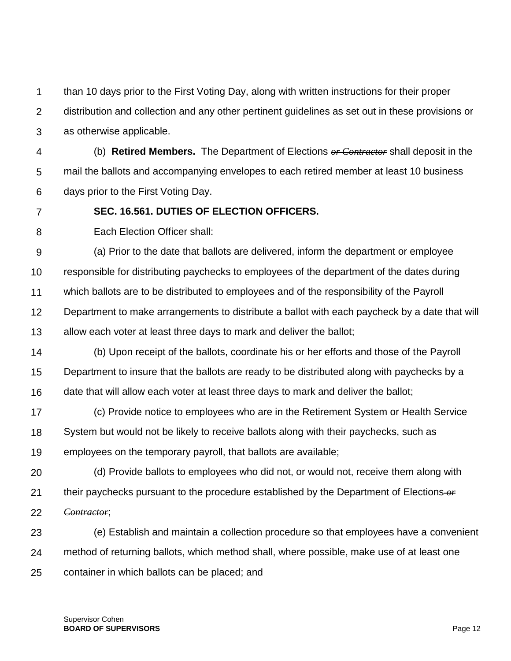1 than 10 days prior to the First Voting Day, along with written instructions for their proper

 $\mathcal{P}$ distribution and collection and any other pertinent guidelines as set out in these provisions or

3 as otherwise applicable.

4 5 6 (b) **Retired Members.** The Department of Elections *or Contractor* shall deposit in the mail the ballots and accompanying envelopes to each retired member at least 10 business days prior to the First Voting Day.

7

**SEC. 16.561. DUTIES OF ELECTION OFFICERS.**

8 Each Election Officer shall:

9 10 11 12 13 (a) Prior to the date that ballots are delivered, inform the department or employee responsible for distributing paychecks to employees of the department of the dates during which ballots are to be distributed to employees and of the responsibility of the Payroll Department to make arrangements to distribute a ballot with each paycheck by a date that will allow each voter at least three days to mark and deliver the ballot;

14 15 16 (b) Upon receipt of the ballots, coordinate his or her efforts and those of the Payroll Department to insure that the ballots are ready to be distributed along with paychecks by a date that will allow each voter at least three days to mark and deliver the ballot;

17 18 19 (c) Provide notice to employees who are in the Retirement System or Health Service System but would not be likely to receive ballots along with their paychecks, such as employees on the temporary payroll, that ballots are available;

20 21 22 (d) Provide ballots to employees who did not, or would not, receive them along with their paychecks pursuant to the procedure established by the Department of Elections *or Contractor*;

23 24 25 (e) Establish and maintain a collection procedure so that employees have a convenient method of returning ballots, which method shall, where possible, make use of at least one container in which ballots can be placed; and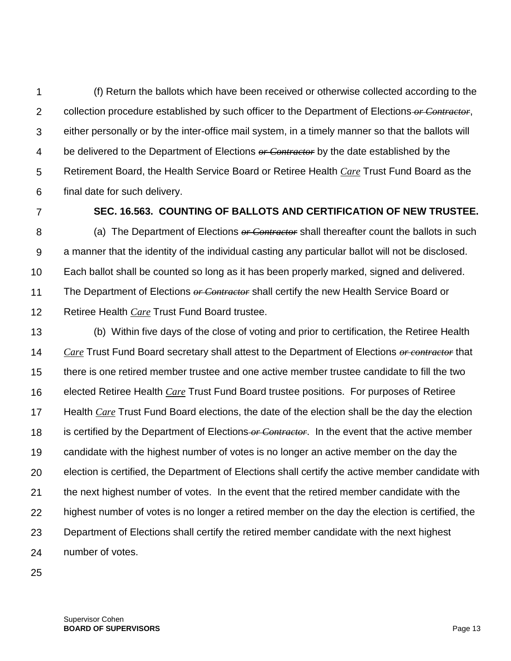1  $\mathcal{P}$ 3 4 5 6 (f) Return the ballots which have been received or otherwise collected according to the collection procedure established by such officer to the Department of Elections *or Contractor*, either personally or by the inter-office mail system, in a timely manner so that the ballots will be delivered to the Department of Elections *or Contractor* by the date established by the Retirement Board, the Health Service Board or Retiree Health *Care* Trust Fund Board as the final date for such delivery.

7

### **SEC. 16.563. COUNTING OF BALLOTS AND CERTIFICATION OF NEW TRUSTEE.**

8 9 10 11 12 (a) The Department of Elections *or Contractor* shall thereafter count the ballots in such a manner that the identity of the individual casting any particular ballot will not be disclosed. Each ballot shall be counted so long as it has been properly marked, signed and delivered. The Department of Elections *or Contractor* shall certify the new Health Service Board or Retiree Health *Care* Trust Fund Board trustee.

13 14 15 16 17 18 19 20 21 22 23 24 (b) Within five days of the close of voting and prior to certification, the Retiree Health *Care* Trust Fund Board secretary shall attest to the Department of Elections *or contractor* that there is one retired member trustee and one active member trustee candidate to fill the two elected Retiree Health *Care* Trust Fund Board trustee positions. For purposes of Retiree Health *Care* Trust Fund Board elections, the date of the election shall be the day the election is certified by the Department of Elections *or Contractor*. In the event that the active member candidate with the highest number of votes is no longer an active member on the day the election is certified, the Department of Elections shall certify the active member candidate with the next highest number of votes. In the event that the retired member candidate with the highest number of votes is no longer a retired member on the day the election is certified, the Department of Elections shall certify the retired member candidate with the next highest number of votes.

25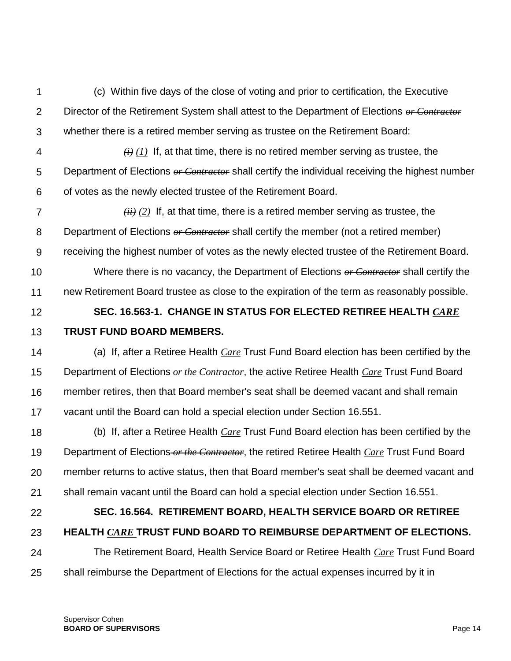1  $\mathcal{P}$ 3 (c) Within five days of the close of voting and prior to certification, the Executive Director of the Retirement System shall attest to the Department of Elections *or Contractor* whether there is a retired member serving as trustee on the Retirement Board:

4 5 6  $(h)$  *(i)* If, at that time, there is no retired member serving as trustee, the Department of Elections *or Contractor* shall certify the individual receiving the highest number of votes as the newly elected trustee of the Retirement Board.

7 8 9 10 *(ii) (2)* If, at that time, there is a retired member serving as trustee, the Department of Elections *or Contractor* shall certify the member (not a retired member) receiving the highest number of votes as the newly elected trustee of the Retirement Board. Where there is no vacancy, the Department of Elections *or Contractor* shall certify the

11 new Retirement Board trustee as close to the expiration of the term as reasonably possible.

#### 12 13 **SEC. 16.563-1. CHANGE IN STATUS FOR ELECTED RETIREE HEALTH** *CARE* **TRUST FUND BOARD MEMBERS.**

14 15 16 17 (a) If, after a Retiree Health *Care* Trust Fund Board election has been certified by the Department of Elections *or the Contractor*, the active Retiree Health *Care* Trust Fund Board member retires, then that Board member's seat shall be deemed vacant and shall remain vacant until the Board can hold a special election under Section 16.551.

18 19 20 21 (b) If, after a Retiree Health *Care* Trust Fund Board election has been certified by the Department of Elections *or the Contractor*, the retired Retiree Health *Care* Trust Fund Board member returns to active status, then that Board member's seat shall be deemed vacant and shall remain vacant until the Board can hold a special election under Section 16.551.

22

### **SEC. 16.564. RETIREMENT BOARD, HEALTH SERVICE BOARD OR RETIREE**

- 23 **HEALTH** *CARE* **TRUST FUND BOARD TO REIMBURSE DEPARTMENT OF ELECTIONS.**
- 24 25 The Retirement Board, Health Service Board or Retiree Health *Care* Trust Fund Board shall reimburse the Department of Elections for the actual expenses incurred by it in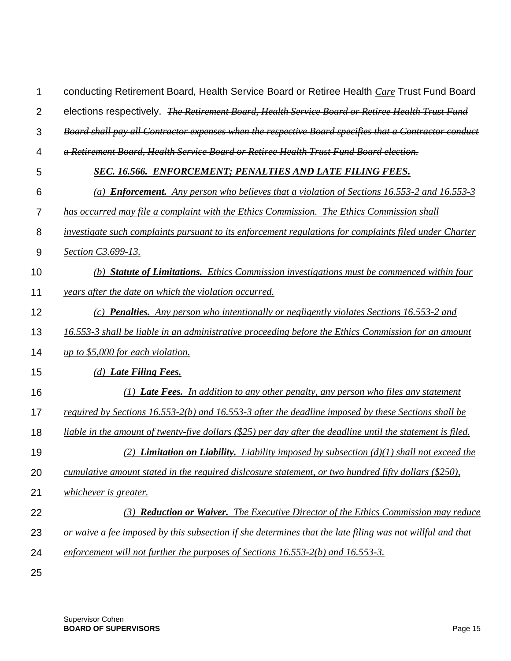| 1              | conducting Retirement Board, Health Service Board or Retiree Health Care Trust Fund Board                   |
|----------------|-------------------------------------------------------------------------------------------------------------|
| $\overline{2}$ | elections respectively. The Retirement Board, Health Service Board or Retiree Health Trust Fund             |
| 3              | Board shall pay all Contractor expenses when the respective Board specifies that a Contractor conduct       |
| 4              | a Retirement Board, Health Service Board or Retiree Health Trust Fund Board election.                       |
| 5              | SEC. 16.566. ENFORCEMENT; PENALTIES AND LATE FILING FEES.                                                   |
| 6              | (a) <b>Enforcement.</b> Any person who believes that a violation of Sections 16.553-2 and 16.553-3          |
| $\overline{7}$ | has occurred may file a complaint with the Ethics Commission. The Ethics Commission shall                   |
| 8              | investigate such complaints pursuant to its enforcement regulations for complaints filed under Charter      |
| 9              | Section C3.699-13.                                                                                          |
| 10             | (b) Statute of Limitations. Ethics Commission investigations must be commenced within four                  |
| 11             | years after the date on which the violation occurred.                                                       |
| 12             | (c) <b>Penalties.</b> Any person who intentionally or negligently violates Sections 16.553-2 and            |
| 13             | 16.553-3 shall be liable in an administrative proceeding before the Ethics Commission for an amount         |
| 14             | up to $$5,000$ for each violation.                                                                          |
| 15             | (d) Late Filing Fees.                                                                                       |
| 16             | (1) Late Fees. In addition to any other penalty, any person who files any statement                         |
| 17             | required by Sections 16.553-2(b) and 16.553-3 after the deadline imposed by these Sections shall be         |
| 18             | liable in the amount of twenty-five dollars (\$25) per day after the deadline until the statement is filed. |
| 19             | (2) <b>Limitation on Liability.</b> Liability imposed by subsection $(d)(1)$ shall not exceed the           |
| 20             | cumulative amount stated in the required dislcosure statement, or two hundred fifty dollars (\$250),        |
| 21             | whichever is greater.                                                                                       |
| 22             | (3) Reduction or Waiver. The Executive Director of the Ethics Commission may reduce                         |
| 23             | or waive a fee imposed by this subsection if she determines that the late filing was not willful and that   |
| 24             | enforcement will not further the purposes of Sections 16.553-2(b) and 16.553-3.                             |
| 25             |                                                                                                             |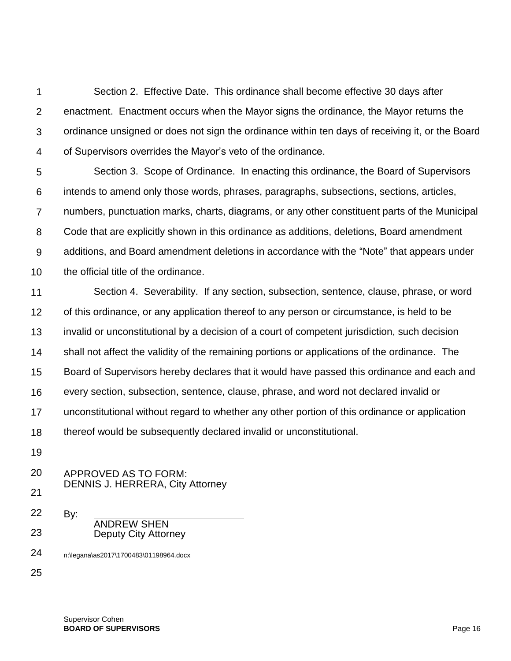1  $\mathcal{P}$ 3 4 Section 2. Effective Date. This ordinance shall become effective 30 days after enactment. Enactment occurs when the Mayor signs the ordinance, the Mayor returns the ordinance unsigned or does not sign the ordinance within ten days of receiving it, or the Board of Supervisors overrides the Mayor's veto of the ordinance.

5 6 7 8 9 10 Section 3. Scope of Ordinance. In enacting this ordinance, the Board of Supervisors intends to amend only those words, phrases, paragraphs, subsections, sections, articles, numbers, punctuation marks, charts, diagrams, or any other constituent parts of the Municipal Code that are explicitly shown in this ordinance as additions, deletions, Board amendment additions, and Board amendment deletions in accordance with the "Note" that appears under the official title of the ordinance.

11 12 13 14 15 16 17 18 Section 4. Severability. If any section, subsection, sentence, clause, phrase, or word of this ordinance, or any application thereof to any person or circumstance, is held to be invalid or unconstitutional by a decision of a court of competent jurisdiction, such decision shall not affect the validity of the remaining portions or applications of the ordinance. The Board of Supervisors hereby declares that it would have passed this ordinance and each and every section, subsection, sentence, clause, phrase, and word not declared invalid or unconstitutional without regard to whether any other portion of this ordinance or application thereof would be subsequently declared invalid or unconstitutional.

19

20 21 APPROVED AS TO FORM: DENNIS J. HERRERA, City Attorney

22 23 By: ANDREW SHEN Deputy City Attorney

24 n:\legana\as2017\1700483\01198964.docx

25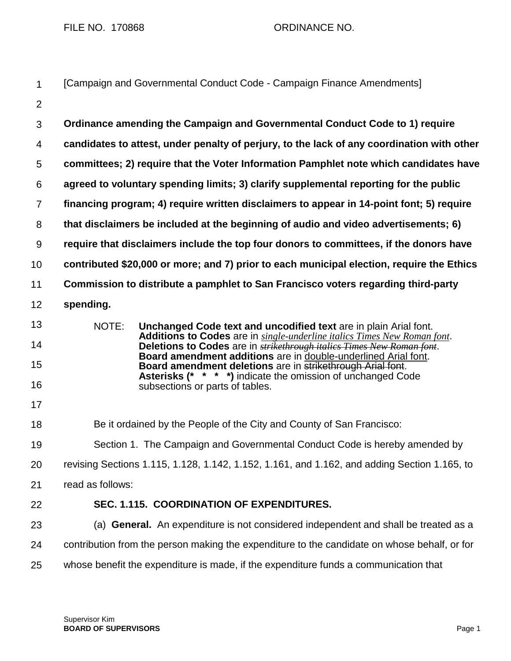FILE NO. 170868 ORDINANCE NO.

| $\mathbf{1}$     | [Campaign and Governmental Conduct Code - Campaign Finance Amendments]                                                                                    |
|------------------|-----------------------------------------------------------------------------------------------------------------------------------------------------------|
| $\overline{2}$   |                                                                                                                                                           |
| 3                | Ordinance amending the Campaign and Governmental Conduct Code to 1) require                                                                               |
| 4                | candidates to attest, under penalty of perjury, to the lack of any coordination with other                                                                |
| 5                | committees; 2) require that the Voter Information Pamphlet note which candidates have                                                                     |
| 6                | agreed to voluntary spending limits; 3) clarify supplemental reporting for the public                                                                     |
| $\overline{7}$   | financing program; 4) require written disclaimers to appear in 14-point font; 5) require                                                                  |
| 8                | that disclaimers be included at the beginning of audio and video advertisements; 6)                                                                       |
| $\boldsymbol{9}$ | require that disclaimers include the top four donors to committees, if the donors have                                                                    |
| 10               | contributed \$20,000 or more; and 7) prior to each municipal election, require the Ethics                                                                 |
| 11               | Commission to distribute a pamphlet to San Francisco voters regarding third-party                                                                         |
| 12               | spending.                                                                                                                                                 |
| 13               | NOTE:<br>Unchanged Code text and uncodified text are in plain Arial font.                                                                                 |
| 14               | Additions to Codes are in single-underline italics Times New Roman font.<br>Deletions to Codes are in <b>strikethrough italics Times New Roman font</b> . |
| 15               | Board amendment additions are in double-underlined Arial font.<br>Board amendment deletions are in strikethrough Arial font.                              |
| 16               | <b>Asterisks (* * * *)</b> indicate the omission of unchanged Code<br>subsections or parts of tables.                                                     |
| 17               |                                                                                                                                                           |
| 18               | Be it ordained by the People of the City and County of San Francisco:                                                                                     |
| 19               | Section 1. The Campaign and Governmental Conduct Code is hereby amended by                                                                                |
| 20               | revising Sections 1.115, 1.128, 1.142, 1.152, 1.161, and 1.162, and adding Section 1.165, to                                                              |
| 21               | read as follows:                                                                                                                                          |
| 22               | SEC. 1.115. COORDINATION OF EXPENDITURES.                                                                                                                 |
| 23               | (a) General. An expenditure is not considered independent and shall be treated as a                                                                       |
| 24               | contribution from the person making the expenditure to the candidate on whose behalf, or for                                                              |
| 25               | whose benefit the expenditure is made, if the expenditure funds a communication that                                                                      |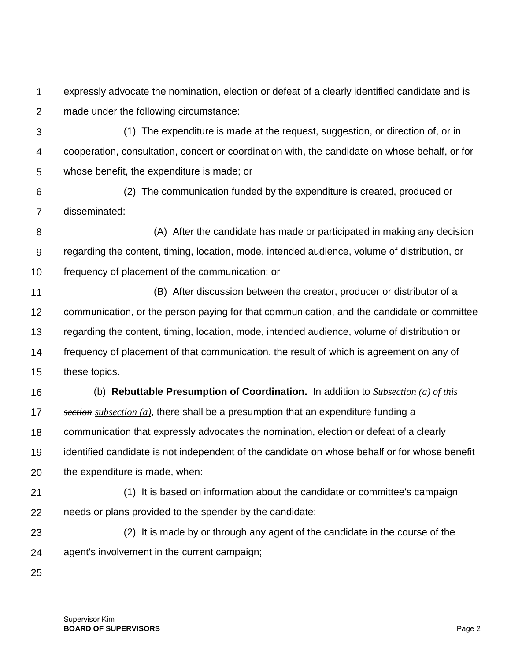1  $\mathcal{P}$ expressly advocate the nomination, election or defeat of a clearly identified candidate and is made under the following circumstance:

- 3 4 5 (1) The expenditure is made at the request, suggestion, or direction of, or in cooperation, consultation, concert or coordination with, the candidate on whose behalf, or for whose benefit, the expenditure is made; or
- 6 7 (2) The communication funded by the expenditure is created, produced or disseminated:
- 8 9 10 (A) After the candidate has made or participated in making any decision regarding the content, timing, location, mode, intended audience, volume of distribution, or frequency of placement of the communication; or
- 11 12 13 14 15 (B) After discussion between the creator, producer or distributor of a communication, or the person paying for that communication, and the candidate or committee regarding the content, timing, location, mode, intended audience, volume of distribution or frequency of placement of that communication, the result of which is agreement on any of these topics.
- 16 17 18 19 20 (b) **Rebuttable Presumption of Coordination.** In addition to *Subsection (a) of this section subsection (a)*, there shall be a presumption that an expenditure funding a communication that expressly advocates the nomination, election or defeat of a clearly identified candidate is not independent of the candidate on whose behalf or for whose benefit the expenditure is made, when:
- 21 22 (1) It is based on information about the candidate or committee's campaign needs or plans provided to the spender by the candidate;
- 23 24 (2) It is made by or through any agent of the candidate in the course of the agent's involvement in the current campaign;
- 25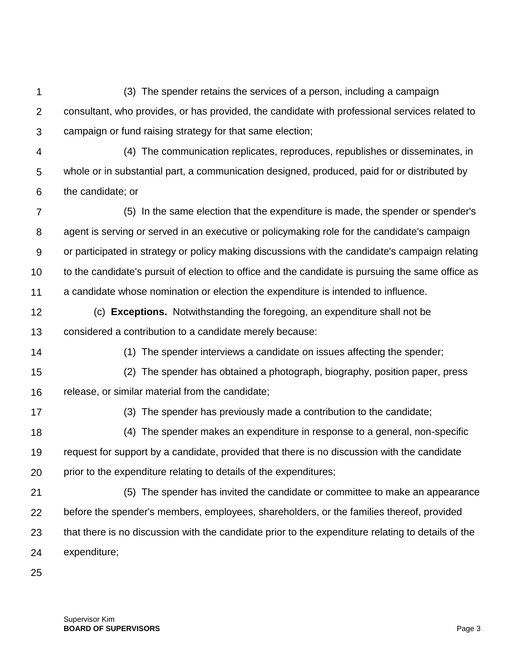1  $\mathcal{P}$ 3 (3) The spender retains the services of a person, including a campaign consultant, who provides, or has provided, the candidate with professional services related to campaign or fund raising strategy for that same election;

4 5 6 (4) The communication replicates, reproduces, republishes or disseminates, in whole or in substantial part, a communication designed, produced, paid for or distributed by the candidate; or

7 8 9 10 11 (5) In the same election that the expenditure is made, the spender or spender's agent is serving or served in an executive or policymaking role for the candidate's campaign or participated in strategy or policy making discussions with the candidate's campaign relating to the candidate's pursuit of election to office and the candidate is pursuing the same office as a candidate whose nomination or election the expenditure is intended to influence.

- 12 13 (c) **Exceptions.** Notwithstanding the foregoing, an expenditure shall not be considered a contribution to a candidate merely because:
- 14 (1) The spender interviews a candidate on issues affecting the spender;

15 16 (2) The spender has obtained a photograph, biography, position paper, press release, or similar material from the candidate;

17

(3) The spender has previously made a contribution to the candidate;

18 19 20 (4) The spender makes an expenditure in response to a general, non-specific request for support by a candidate, provided that there is no discussion with the candidate prior to the expenditure relating to details of the expenditures;

- 21 22 23 24 (5) The spender has invited the candidate or committee to make an appearance before the spender's members, employees, shareholders, or the families thereof, provided that there is no discussion with the candidate prior to the expenditure relating to details of the expenditure;
- 25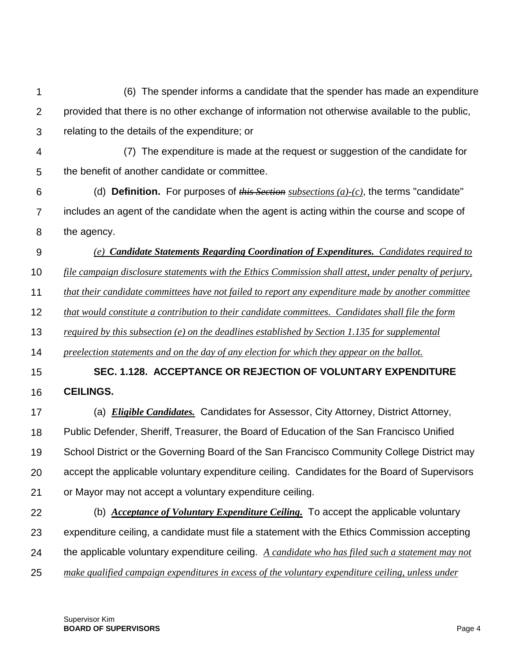1  $\mathcal{P}$ 3 4 5 6 7 8 9 10 11 12 13 14 15 16 17 18 19 20 21 22 23 24 25 (6) The spender informs a candidate that the spender has made an expenditure provided that there is no other exchange of information not otherwise available to the public, relating to the details of the expenditure; or (7) The expenditure is made at the request or suggestion of the candidate for the benefit of another candidate or committee. (d) **Definition.** For purposes of *this Section subsections (a)-(c)*, the terms "candidate" includes an agent of the candidate when the agent is acting within the course and scope of the agency. *(e) Candidate Statements Regarding Coordination of Expenditures. Candidates required to file campaign disclosure statements with the Ethics Commission shall attest, under penalty of perjury, that their candidate committees have not failed to report any expenditure made by another committee that would constitute a contribution to their candidate committees. Candidates shall file the form required by this subsection (e) on the deadlines established by Section 1.135 for supplemental preelection statements and on the day of any election for which they appear on the ballot.* **SEC. 1.128. ACCEPTANCE OR REJECTION OF VOLUNTARY EXPENDITURE CEILINGS.** (a) *Eligible Candidates.* Candidates for Assessor, City Attorney, District Attorney, Public Defender, Sheriff, Treasurer, the Board of Education of the San Francisco Unified School District or the Governing Board of the San Francisco Community College District may accept the applicable voluntary expenditure ceiling. Candidates for the Board of Supervisors or Mayor may not accept a voluntary expenditure ceiling. (b) *Acceptance of Voluntary Expenditure Ceiling.* To accept the applicable voluntary expenditure ceiling, a candidate must file a statement with the Ethics Commission accepting the applicable voluntary expenditure ceiling. *A candidate who has filed such a statement may not make qualified campaign expenditures in excess of the voluntary expenditure ceiling, unless under*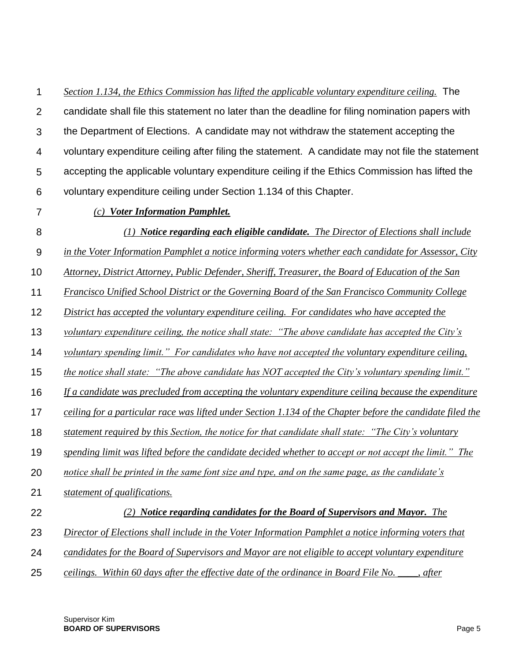1  $\mathcal{P}$ 3 4 5 6 *Section 1.134, the Ethics Commission has lifted the applicable voluntary expenditure ceiling.* The candidate shall file this statement no later than the deadline for filing nomination papers with the Department of Elections. A candidate may not withdraw the statement accepting the voluntary expenditure ceiling after filing the statement. A candidate may not file the statement accepting the applicable voluntary expenditure ceiling if the Ethics Commission has lifted the voluntary expenditure ceiling under Section 1.134 of this Chapter.

7

22

#### *(c) Voter Information Pamphlet.*

- 8 *(1) Notice regarding each eligible candidate. The Director of Elections shall include*
- 9 *in the Voter Information Pamphlet a notice informing voters whether each candidate for Assessor, City*
- 10 *Attorney, District Attorney, Public Defender, Sheriff, Treasurer, the Board of Education of the San*
- 11 *Francisco Unified School District or the Governing Board of the San Francisco Community College*
- 12 *District has accepted the voluntary expenditure ceiling. For candidates who have accepted the*
- 13 *voluntary expenditure ceiling, the notice shall state: "The above candidate has accepted the City's*
- 14 *voluntary spending limit." For candidates who have not accepted the voluntary expenditure ceiling,*
- 15 *the notice shall state: "The above candidate has NOT accepted the City's voluntary spending limit."*
- 16 *If a candidate was precluded from accepting the voluntary expenditure ceiling because the expenditure*
- 17 *ceiling for a particular race was lifted under Section 1.134 of the Chapter before the candidate filed the*
- 18 *statement required by this Section, the notice for that candidate shall state: "The City's voluntary*
- 19 *spending limit was lifted before the candidate decided whether to accept or not accept the limit." The*
- 20 *notice shall be printed in the same font size and type, and on the same page, as the candidate's*
- 21 *statement of qualifications.*

#### *(2) Notice regarding candidates for the Board of Supervisors and Mayor. The*

- 23 *Director of Elections shall include in the Voter Information Pamphlet a notice informing voters that*
- 24 *candidates for the Board of Supervisors and Mayor are not eligible to accept voluntary expenditure*
- 25 *ceilings. Within 60 days after the effective date of the ordinance in Board File No. \_\_\_\_, after*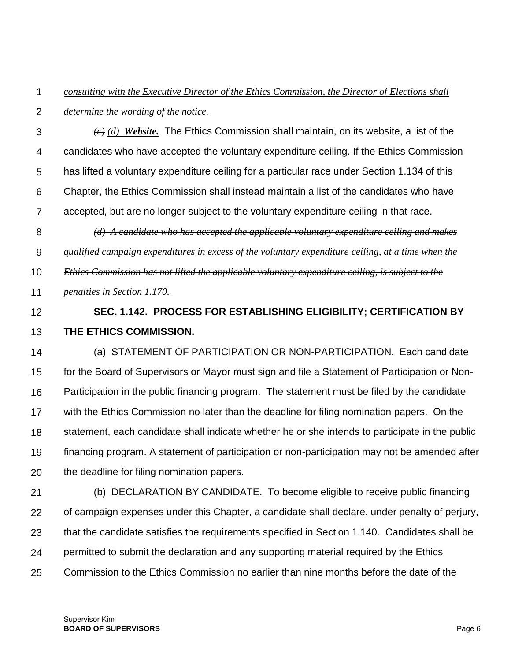#### 1 *consulting with the Executive Director of the Ethics Commission, the Director of Elections shall*

 $\mathcal{P}$ *determine the wording of the notice.*

3 4 5 6 7 8 *(c) (d) Website.* The Ethics Commission shall maintain, on its website, a list of the candidates who have accepted the voluntary expenditure ceiling. If the Ethics Commission has lifted a voluntary expenditure ceiling for a particular race under Section 1.134 of this Chapter, the Ethics Commission shall instead maintain a list of the candidates who have accepted, but are no longer subject to the voluntary expenditure ceiling in that race. *(d) A candidate who has accepted the applicable voluntary expenditure ceiling and makes* 

9 *qualified campaign expenditures in excess of the voluntary expenditure ceiling, at a time when the* 

10 *Ethics Commission has not lifted the applicable voluntary expenditure ceiling, is subject to the* 

- 11 *penalties in Section 1.170.*
- 12

13

## **SEC. 1.142. PROCESS FOR ESTABLISHING ELIGIBILITY; CERTIFICATION BY THE ETHICS COMMISSION.**

14 15 16 17 18 19 20 (a) STATEMENT OF PARTICIPATION OR NON-PARTICIPATION. Each candidate for the Board of Supervisors or Mayor must sign and file a Statement of Participation or Non-Participation in the public financing program. The statement must be filed by the candidate with the Ethics Commission no later than the deadline for filing nomination papers. On the statement, each candidate shall indicate whether he or she intends to participate in the public financing program. A statement of participation or non-participation may not be amended after the deadline for filing nomination papers.

21 22 23 24 25 (b) DECLARATION BY CANDIDATE. To become eligible to receive public financing of campaign expenses under this Chapter, a candidate shall declare, under penalty of perjury, that the candidate satisfies the requirements specified in Section 1.140. Candidates shall be permitted to submit the declaration and any supporting material required by the Ethics Commission to the Ethics Commission no earlier than nine months before the date of the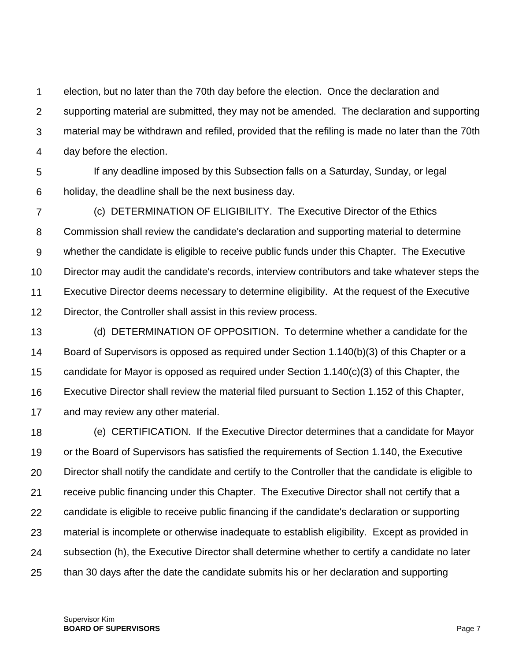1  $\mathcal{P}$ 3 4 election, but no later than the 70th day before the election. Once the declaration and supporting material are submitted, they may not be amended. The declaration and supporting material may be withdrawn and refiled, provided that the refiling is made no later than the 70th day before the election.

5 6 If any deadline imposed by this Subsection falls on a Saturday, Sunday, or legal holiday, the deadline shall be the next business day.

7 8 9 10 11 12 (c) DETERMINATION OF ELIGIBILITY. The Executive Director of the Ethics Commission shall review the candidate's declaration and supporting material to determine whether the candidate is eligible to receive public funds under this Chapter. The Executive Director may audit the candidate's records, interview contributors and take whatever steps the Executive Director deems necessary to determine eligibility. At the request of the Executive Director, the Controller shall assist in this review process.

13 14 15 16 17 (d) DETERMINATION OF OPPOSITION. To determine whether a candidate for the Board of Supervisors is opposed as required under Section 1.140(b)(3) of this Chapter or a candidate for Mayor is opposed as required under Section 1.140(c)(3) of this Chapter, the Executive Director shall review the material filed pursuant to Section 1.152 of this Chapter, and may review any other material.

18 19 20 21 22 23 24 25 (e) CERTIFICATION. If the Executive Director determines that a candidate for Mayor or the Board of Supervisors has satisfied the requirements of Section 1.140, the Executive Director shall notify the candidate and certify to the Controller that the candidate is eligible to receive public financing under this Chapter. The Executive Director shall not certify that a candidate is eligible to receive public financing if the candidate's declaration or supporting material is incomplete or otherwise inadequate to establish eligibility. Except as provided in subsection (h), the Executive Director shall determine whether to certify a candidate no later than 30 days after the date the candidate submits his or her declaration and supporting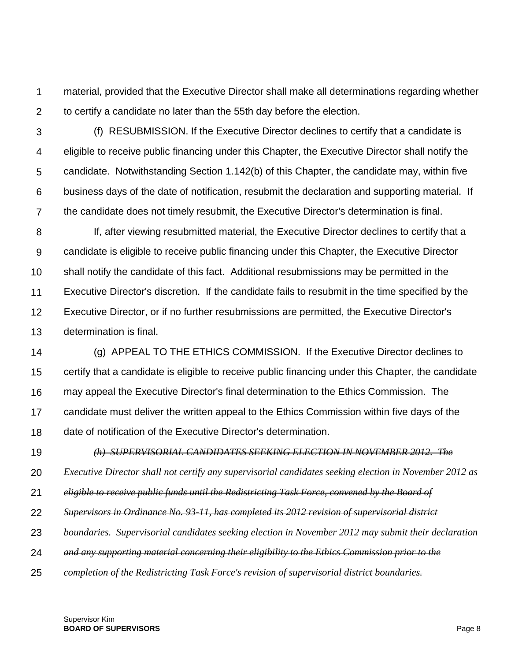1  $\mathcal{P}$ material, provided that the Executive Director shall make all determinations regarding whether to certify a candidate no later than the 55th day before the election.

3 4 5 6 7 (f) RESUBMISSION. If the Executive Director declines to certify that a candidate is eligible to receive public financing under this Chapter, the Executive Director shall notify the candidate. Notwithstanding Section 1.142(b) of this Chapter, the candidate may, within five business days of the date of notification, resubmit the declaration and supporting material. If the candidate does not timely resubmit, the Executive Director's determination is final.

8 9 10 11 12 13 If, after viewing resubmitted material, the Executive Director declines to certify that a candidate is eligible to receive public financing under this Chapter, the Executive Director shall notify the candidate of this fact. Additional resubmissions may be permitted in the Executive Director's discretion. If the candidate fails to resubmit in the time specified by the Executive Director, or if no further resubmissions are permitted, the Executive Director's determination is final.

14 15 16 17 18 (g) APPEAL TO THE ETHICS COMMISSION. If the Executive Director declines to certify that a candidate is eligible to receive public financing under this Chapter, the candidate may appeal the Executive Director's final determination to the Ethics Commission. The candidate must deliver the written appeal to the Ethics Commission within five days of the date of notification of the Executive Director's determination.

19 *(h) SUPERVISORIAL CANDIDATES SEEKING ELECTION IN NOVEMBER 2012. The* 

20 *Executive Director shall not certify any supervisorial candidates seeking election in November 2012 as* 

- 21 *eligible to receive public funds until the Redistricting Task Force, convened by the Board of*
- 22 *Supervisors in Ordinance No. 93-11, has completed its 2012 revision of supervisorial district*
- 23 *boundaries. Supervisorial candidates seeking election in November 2012 may submit their declaration*
- 24 *and any supporting material concerning their eligibility to the Ethics Commission prior to the*
- 25 *completion of the Redistricting Task Force's revision of supervisorial district boundaries.*

Supervisor Kim **BOARD OF SUPERVISORS Page 8**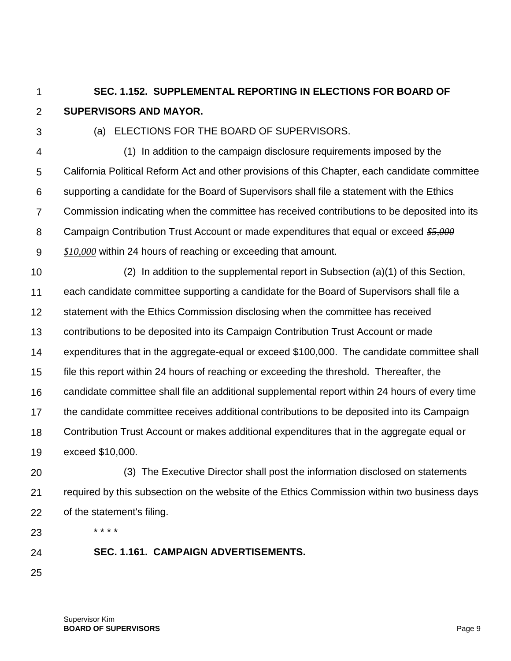1

 $\mathcal{P}$ 

### **SEC. 1.152. SUPPLEMENTAL REPORTING IN ELECTIONS FOR BOARD OF SUPERVISORS AND MAYOR.**

3

### (a) ELECTIONS FOR THE BOARD OF SUPERVISORS.

4 5 6 7 8 9 (1) In addition to the campaign disclosure requirements imposed by the California Political Reform Act and other provisions of this Chapter, each candidate committee supporting a candidate for the Board of Supervisors shall file a statement with the Ethics Commission indicating when the committee has received contributions to be deposited into its Campaign Contribution Trust Account or made expenditures that equal or exceed *\$5,000 \$10,000* within 24 hours of reaching or exceeding that amount.

10 11 12 13 14 15 16 17 18 19 (2) In addition to the supplemental report in Subsection (a)(1) of this Section, each candidate committee supporting a candidate for the Board of Supervisors shall file a statement with the Ethics Commission disclosing when the committee has received contributions to be deposited into its Campaign Contribution Trust Account or made expenditures that in the aggregate-equal or exceed \$100,000. The candidate committee shall file this report within 24 hours of reaching or exceeding the threshold. Thereafter, the candidate committee shall file an additional supplemental report within 24 hours of every time the candidate committee receives additional contributions to be deposited into its Campaign Contribution Trust Account or makes additional expenditures that in the aggregate equal or exceed \$10,000.

20 21 22 (3) The Executive Director shall post the information disclosed on statements required by this subsection on the website of the Ethics Commission within two business days of the statement's filing.

23

- 24
- **SEC. 1.161. CAMPAIGN ADVERTISEMENTS.**
- 25

\* \* \* \*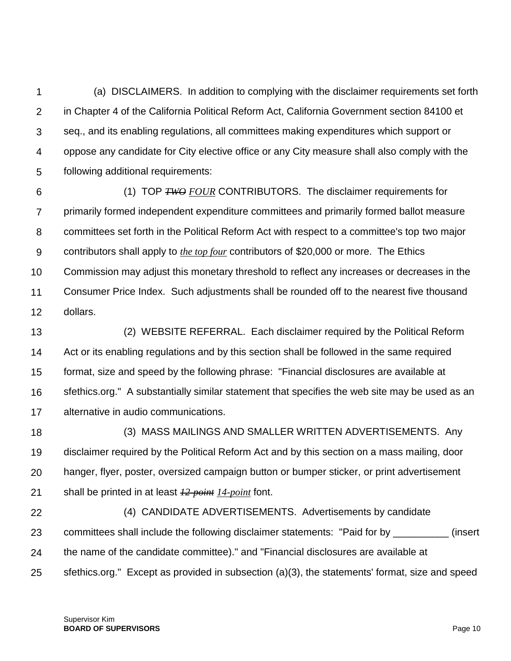1  $\mathcal{P}$ 3 4 5 (a) DISCLAIMERS. In addition to complying with the disclaimer requirements set forth in Chapter 4 of the California Political Reform Act, California Government section 84100 et seq., and its enabling regulations, all committees making expenditures which support or oppose any candidate for City elective office or any City measure shall also comply with the following additional requirements:

6 7 8 9 10 11 12 (1) TOP *TWO FOUR* CONTRIBUTORS. The disclaimer requirements for primarily formed independent expenditure committees and primarily formed ballot measure committees set forth in the Political Reform Act with respect to a committee's top two major contributors shall apply to *the top four* contributors of \$20,000 or more. The Ethics Commission may adjust this monetary threshold to reflect any increases or decreases in the Consumer Price Index. Such adjustments shall be rounded off to the nearest five thousand dollars.

13 14 15 16 17 (2) WEBSITE REFERRAL. Each disclaimer required by the Political Reform Act or its enabling regulations and by this section shall be followed in the same required format, size and speed by the following phrase: "Financial disclosures are available at sfethics.org." A substantially similar statement that specifies the web site may be used as an alternative in audio communications.

18 19 20 21 (3) MASS MAILINGS AND SMALLER WRITTEN ADVERTISEMENTS. Any disclaimer required by the Political Reform Act and by this section on a mass mailing, door hanger, flyer, poster, oversized campaign button or bumper sticker, or print advertisement shall be printed in at least *12-point 14-point* font.

22 23 24 25 (4) CANDIDATE ADVERTISEMENTS. Advertisements by candidate committees shall include the following disclaimer statements: "Paid for by \_\_\_\_\_\_\_\_\_\_ (insert the name of the candidate committee)." and "Financial disclosures are available at sfethics.org." Except as provided in subsection (a)(3), the statements' format, size and speed

Supervisor Kim **BOARD OF SUPERVISORS** Page 10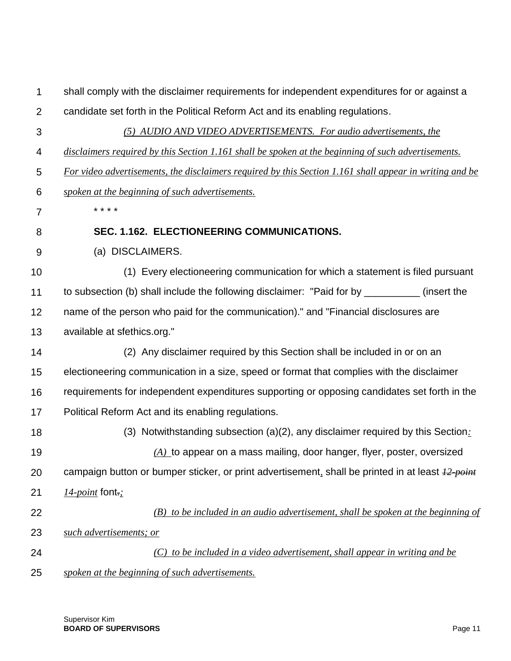| $\mathbf 1$    | shall comply with the disclaimer requirements for independent expenditures for or against a             |
|----------------|---------------------------------------------------------------------------------------------------------|
| $\overline{2}$ | candidate set forth in the Political Reform Act and its enabling regulations.                           |
| $\mathfrak{S}$ | (5) AUDIO AND VIDEO ADVERTISEMENTS. For audio advertisements, the                                       |
| 4              | disclaimers required by this Section 1.161 shall be spoken at the beginning of such advertisements.     |
| 5              | For video advertisements, the disclaimers required by this Section 1.161 shall appear in writing and be |
| 6              | spoken at the beginning of such advertisements.                                                         |
| $\overline{7}$ | * * * *                                                                                                 |
| 8              | SEC. 1.162. ELECTIONEERING COMMUNICATIONS.                                                              |
| 9              | (a) DISCLAIMERS.                                                                                        |
| 10             | (1) Every electioneering communication for which a statement is filed pursuant                          |
| 11             | to subsection (b) shall include the following disclaimer: "Paid for by __________ (insert the           |
| 12             | name of the person who paid for the communication)." and "Financial disclosures are                     |
| 13             | available at sfethics.org."                                                                             |
| 14             | (2) Any disclaimer required by this Section shall be included in or on an                               |
| 15             | electioneering communication in a size, speed or format that complies with the disclaimer               |
| 16             | requirements for independent expenditures supporting or opposing candidates set forth in the            |
| 17             | Political Reform Act and its enabling regulations.                                                      |
| 18             | (3) Notwithstanding subsection $(a)(2)$ , any disclaimer required by this Section:                      |
| 19             | $(A)$ to appear on a mass mailing, door hanger, flyer, poster, oversized                                |
| 20             | campaign button or bumper sticker, or print advertisement, shall be printed in at least <i>12-point</i> |
| 21             | $14$ - <i>point</i> font.:                                                                              |
| 22             | $(B)$ to be included in an audio advertisement, shall be spoken at the beginning of                     |
| 23             | such advertisements; or                                                                                 |
| 24             | (C) to be included in a video advertisement, shall appear in writing and be                             |
| 25             | spoken at the beginning of such advertisements.                                                         |

Supervisor Kim **BOARD OF SUPERVISORS** Page 11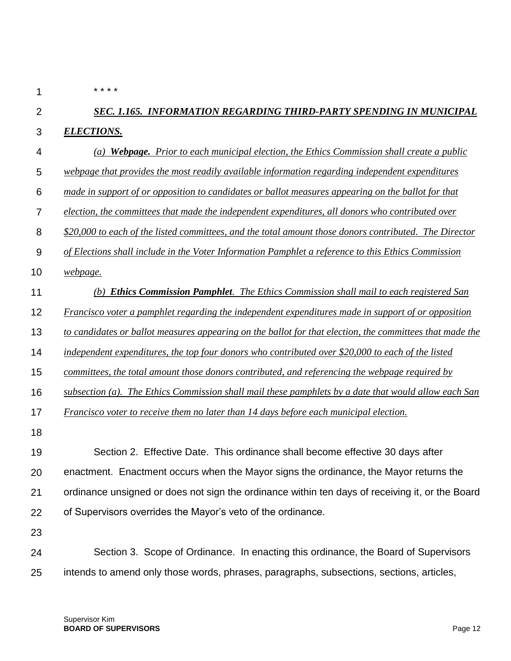1

\* \* \* \*

#### $\mathfrak{p}$ 3 *SEC. 1.165. INFORMATION REGARDING THIRD-PARTY SPENDING IN MUNICIPAL ELECTIONS.*

- 4 *(a) Webpage. Prior to each municipal election, the Ethics Commission shall create a public*
- 5 *webpage that provides the most readily available information regarding independent expenditures*
- 6 *made in support of or opposition to candidates or ballot measures appearing on the ballot for that*
- 7 *election, the committees that made the independent expenditures, all donors who contributed over*

8 *\$20,000 to each of the listed committees, and the total amount those donors contributed. The Director* 

- 9 *of Elections shall include in the Voter Information Pamphlet a reference to this Ethics Commission*
- 10 *webpage.*
- 11 *(b) Ethics Commission Pamphlet. The Ethics Commission shall mail to each registered San*
- 12 *Francisco voter a pamphlet regarding the independent expenditures made in support of or opposition*
- 13 *to candidates or ballot measures appearing on the ballot for that election, the committees that made the*
- 14 *independent expenditures, the top four donors who contributed over \$20,000 to each of the listed*
- 15 *committees, the total amount those donors contributed, and referencing the webpage required by*
- 16 *subsection (a). The Ethics Commission shall mail these pamphlets by a date that would allow each San*
- 17 *Francisco voter to receive them no later than 14 days before each municipal election.*
- 18

19 20 21 22 Section 2. Effective Date. This ordinance shall become effective 30 days after enactment. Enactment occurs when the Mayor signs the ordinance, the Mayor returns the ordinance unsigned or does not sign the ordinance within ten days of receiving it, or the Board of Supervisors overrides the Mayor's veto of the ordinance.

23

24 25 Section 3. Scope of Ordinance. In enacting this ordinance, the Board of Supervisors intends to amend only those words, phrases, paragraphs, subsections, sections, articles,